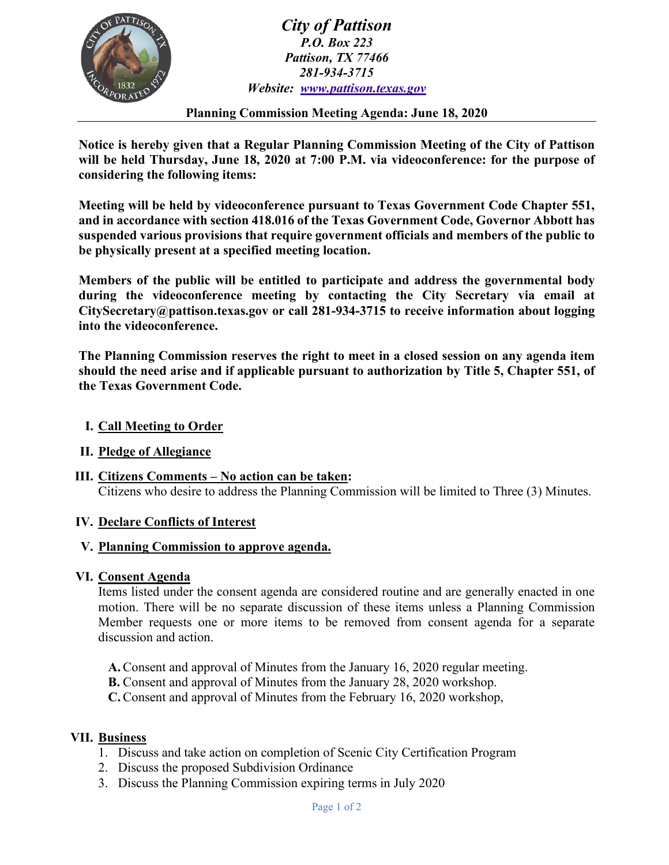

*City of Pattison P.O. Box 223 Pattison, TX 77466 281-934-3715 Website: [www.pattison.texas.gov](http://www.pattison.texas.gov/)*

**Planning Commission Meeting Agenda: June 18, 2020**

**Notice is hereby given that a Regular Planning Commission Meeting of the City of Pattison will be held Thursday, June 18, 2020 at 7:00 P.M. via videoconference: for the purpose of considering the following items:**

**Meeting will be held by videoconference pursuant to Texas Government Code Chapter 551, and in accordance with section 418.016 of the Texas Government Code, Governor Abbott has suspended various provisions that require government officials and members of the public to be physically present at a specified meeting location.** 

**Members of the public will be entitled to participate and address the governmental body during the videoconference meeting by contacting the City Secretary via email at CitySecretary@pattison.texas.gov or call 281-934-3715 to receive information about logging into the videoconference.**

**The Planning Commission reserves the right to meet in a closed session on any agenda item should the need arise and if applicable pursuant to authorization by Title 5, Chapter 551, of the Texas Government Code.**

- **I. Call Meeting to Order**
- **II. Pledge of Allegiance**
- **III. Citizens Comments – No action can be taken:**  Citizens who desire to address the Planning Commission will be limited to Three (3) Minutes.

#### **IV. Declare Conflicts of Interest**

### **V. Planning Commission to approve agenda.**

#### **VI. Consent Agenda**

Items listed under the consent agenda are considered routine and are generally enacted in one motion. There will be no separate discussion of these items unless a Planning Commission Member requests one or more items to be removed from consent agenda for a separate discussion and action.

- **A.**Consent and approval of Minutes from the January 16, 2020 regular meeting.
- **B.** Consent and approval of Minutes from the January 28, 2020 workshop.

**C.**Consent and approval of Minutes from the February 16, 2020 workshop,

#### **VII. Business**

- 1. Discuss and take action on completion of Scenic City Certification Program
- 2. Discuss the proposed Subdivision Ordinance
- 3. Discuss the Planning Commission expiring terms in July 2020